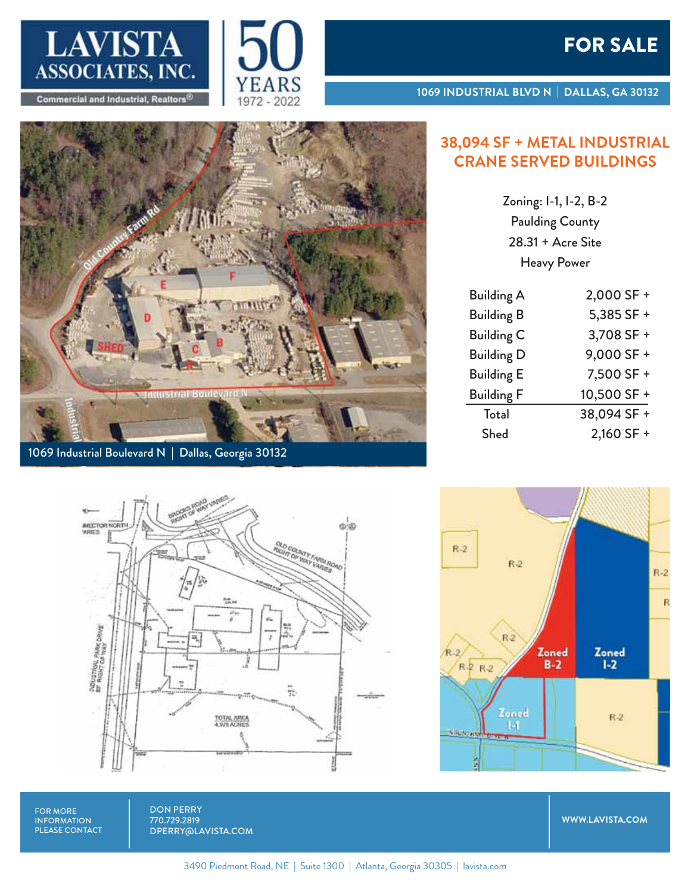

Commercial and Industrial, Realtors®





**1069 INDUSTRIAL BLVD N | DALLAS, GA 30132**



1069 Industrial Boulevard N | Dallas, Georgia 30132



### **38,094 SF + METAL INDUSTRIAL CRANE SERVED BUILDINGS**

Zoning: I-1, I-2, B-2 Paulding County 28.31 + Acre Site Heavy Power

| <b>Building A</b> | 2,000 SF +   |
|-------------------|--------------|
| <b>Building B</b> | 5,385 SF +   |
| <b>Building C</b> | 3,708 SF +   |
| <b>Building D</b> | 9,000 SF +   |
| <b>Building E</b> | 7,500 SF +   |
| <b>Building F</b> | 10,500 SF +  |
| Total             | 38,094 SF +  |
| <b>Shed</b>       | $2,160$ SF + |
|                   |              |



**WWW.LAVISTA.COM**

FOR MORE INFORMATION PLEASE CONTACT DON PERRY 770.729.2819 DPERRY@LAVISTA.COM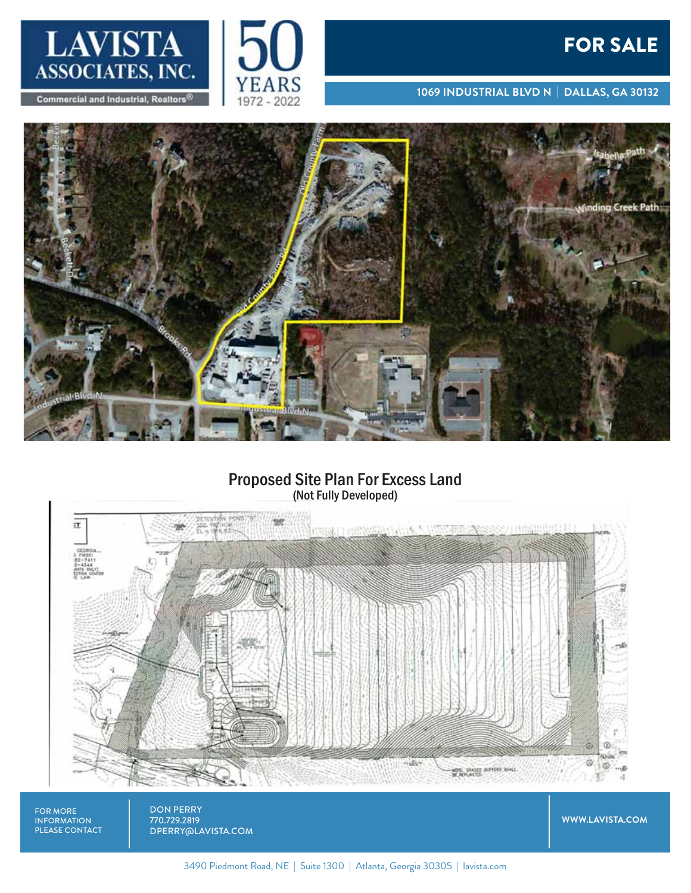

Commercial and Industrial, Realtors®

## FOR SALE

#### **1069 INDUSTRIAL BLVD N | DALLAS, GA 30132**



1972 - 2022

## Proposed Site Plan For Excess Land (Not Fully Developed)



FOR MORE INFORMATION PLEASE CONTACT DON PERRY 770.729.2819 DPERRY@LAVISTA.COM

**WWW.LAVISTA.COM**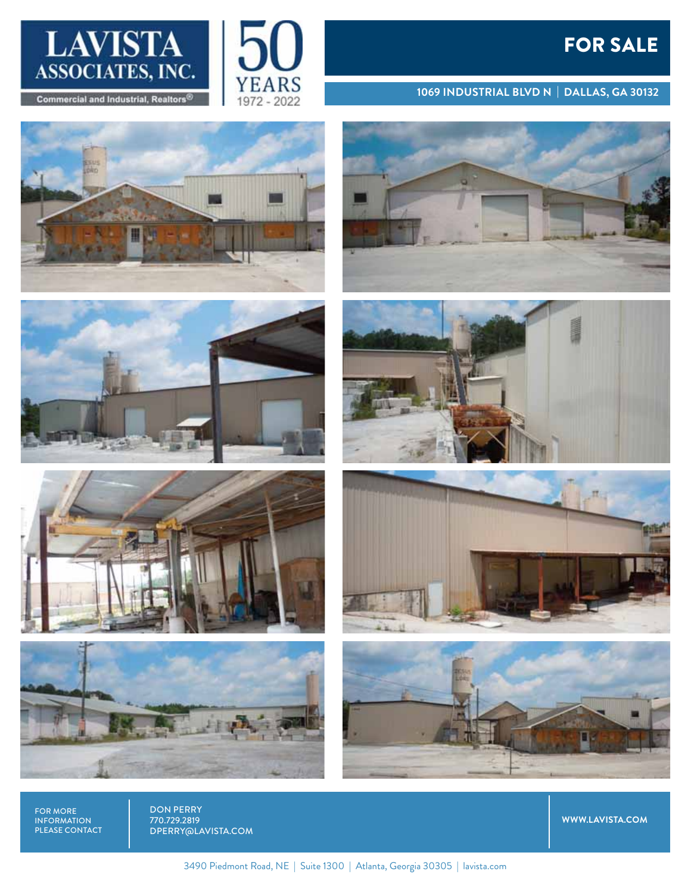# FOR SALE







1972 - 2022















FOR MORE INFORMATION PLEASE CONTACT DON PERRY 770.729.2819 DPERRY@LAVISTA.COM

**WWW.LAVISTA.COM**